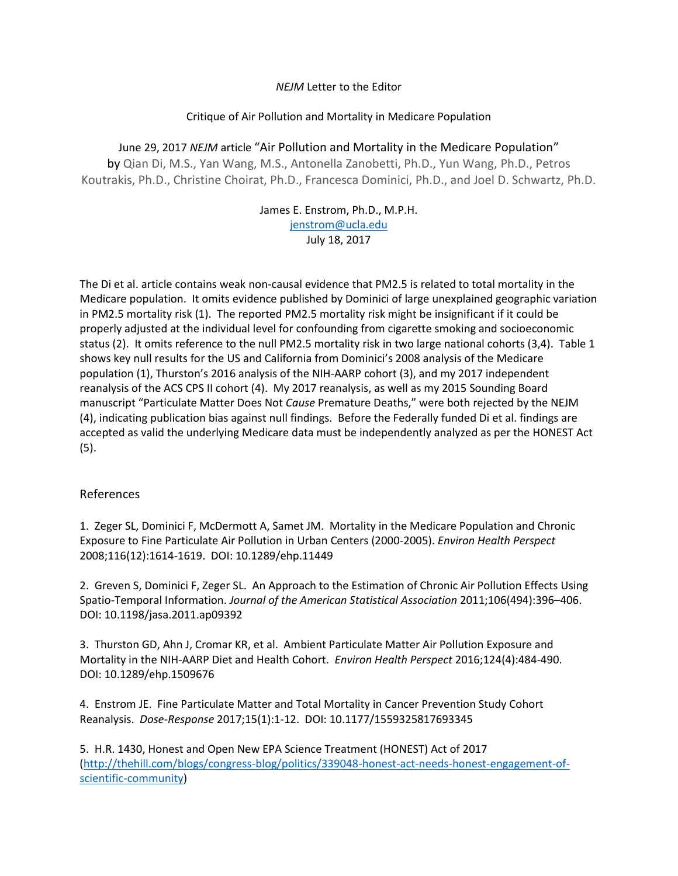## *NEJM* Letter to the Editor

## Critique of Air Pollution and Mortality in Medicare Population

June 29, 2017 *NEJM* article "Air Pollution and Mortality in the Medicare Population" by Qian Di, M.S., Yan Wang, M.S., Antonella Zanobetti, Ph.D., Yun Wang, Ph.D., Petros Koutrakis, Ph.D., Christine Choirat, Ph.D., Francesca Dominici, Ph.D., and Joel D. Schwartz, Ph.D.

> James E. Enstrom, Ph.D., M.P.H. [jenstrom@ucla.edu](mailto:jenstrom@ucla.edu) July 18, 2017

The Di et al. article contains weak non-causal evidence that PM2.5 is related to total mortality in the Medicare population. It omits evidence published by Dominici of large unexplained geographic variation in PM2.5 mortality risk (1). The reported PM2.5 mortality risk might be insignificant if it could be properly adjusted at the individual level for confounding from cigarette smoking and socioeconomic status (2). It omits reference to the null PM2.5 mortality risk in two large national cohorts (3,4). Table 1 shows key null results for the US and California from Dominici's 2008 analysis of the Medicare population (1), Thurston's 2016 analysis of the NIH-AARP cohort (3), and my 2017 independent reanalysis of the ACS CPS II cohort (4). My 2017 reanalysis, as well as my 2015 Sounding Board manuscript "Particulate Matter Does Not *Cause* Premature Deaths," were both rejected by the NEJM (4), indicating publication bias against null findings. Before the Federally funded Di et al. findings are accepted as valid the underlying Medicare data must be independently analyzed as per the HONEST Act (5).

## References

1. Zeger SL, Dominici F, McDermott A, Samet JM. Mortality in the Medicare Population and Chronic Exposure to Fine Particulate Air Pollution in Urban Centers (2000-2005). *Environ Health Perspect* 2008;116(12):1614-1619. DOI: 10.1289/ehp.11449

2. Greven S, Dominici F, Zeger SL. An Approach to the Estimation of Chronic Air Pollution Effects Using Spatio-Temporal Information. *Journal of the American Statistical Association* 2011;106(494):396–406. DOI: 10.1198/jasa.2011.ap09392

3. Thurston GD, Ahn J, Cromar KR, et al. Ambient Particulate Matter Air Pollution Exposure and Mortality in the NIH-AARP Diet and Health Cohort. *Environ Health Perspect* 2016;124(4):484-490. DOI: 10.1289/ehp.1509676

4. Enstrom JE. Fine Particulate Matter and Total Mortality in Cancer Prevention Study Cohort Reanalysis. *Dose-Response* 2017;15(1):1-12. DOI: 10.1177/1559325817693345

5. H.R. 1430, Honest and Open New EPA Science Treatment (HONEST) Act of 2017 [\(http://thehill.com/blogs/congress-blog/politics/339048-honest-act-needs-honest-engagement-of](http://thehill.com/blogs/congress-blog/politics/339048-honest-act-needs-honest-engagement-of-scientific-community)[scientific-community\)](http://thehill.com/blogs/congress-blog/politics/339048-honest-act-needs-honest-engagement-of-scientific-community)